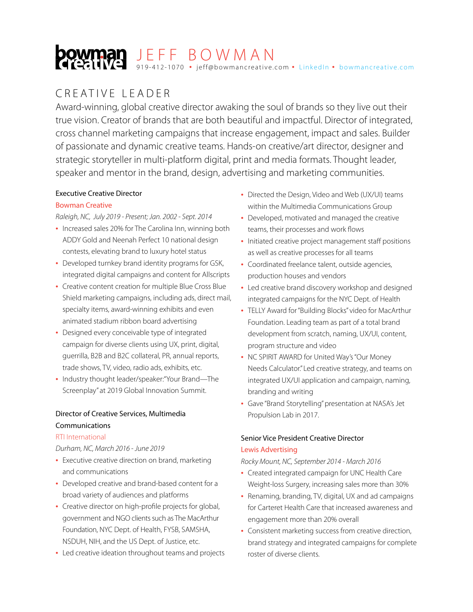# J E F F B O W M A N 919-412-1070 • jeff@bowmancreative.com • [LinkedIn](https://www.linkedin.com/in/jeffbowmancreative/) • bowmancreative.com

# CREATIVE LEADER

Award-winning, global creative director awaking the soul of brands so they live out their true vision. Creator of brands that are both beautiful and impactful. Director of integrated, cross channel marketing campaigns that increase engagement, impact and sales. Builder of passionate and dynamic creative teams. Hands-on creative/art director, designer and strategic storyteller in multi-platform digital, print and media formats. Thought leader, speaker and mentor in the brand, design, advertising and marketing communities.

### Executive Creative Director

### Bowman Creative

*Raleigh, NC, July 2019 - Present; Jan. 2002 - Sept. 2014*

- Increased sales 20% for The Carolina Inn, winning both ADDY Gold and Neenah Perfect 10 national design contests, elevating brand to luxury hotel status
- Developed turnkey brand identity programs for GSK, integrated digital campaigns and content for Allscripts
- Creative content creation for multiple Blue Cross Blue Shield marketing campaigns, including ads, direct mail, specialty items, award-winning exhibits and even animated stadium ribbon board advertising
- Designed every conceivable type of integrated campaign for diverse clients using UX, print, digital, guerrilla, B2B and B2C collateral, PR, annual reports, trade shows, TV, video, radio ads, exhibits, etc.
- Industry thought leader/speaker:"Your Brand—The Screenplay" at 2019 Global Innovation Summit.

## Director of Creative Services, Multimedia Communications

#### RTI International

*Durham, NC, March 2016 - June 2019*

- Executive creative direction on brand, marketing and communications
- Developed creative and brand-based content for a broad variety of audiences and platforms
- Creative director on high-profile projects for global, government and NGO clients such as The MacArthur Foundation, NYC Dept. of Health, FYSB, SAMSHA, NSDUH, NIH, and the US Dept. of Justice, etc.
- Led creative ideation throughout teams and projects
- Directed the Design, Video and Web (UX/UI) teams within the Multimedia Communications Group
- Developed, motivated and managed the creative teams, their processes and work flows
- Initiated creative project management staff positions as well as creative processes for all teams
- Coordinated freelance talent, outside agencies, production houses and vendors
- Led creative brand discovery workshop and designed integrated campaigns for the NYC Dept. of Health
- TELLY Award for "Building Blocks" video for MacArthur Foundation. Leading team as part of a total brand development from scratch, naming, UX/UI, content, program structure and video
- NC SPIRIT AWARD for United Way's "Our Money Needs Calculator." Led creative strategy, and teams on integrated UX/UI application and campaign, naming, branding and writing
- Gave "Brand Storytelling" presentation at NASA's Jet Propulsion Lab in 2017.

## Senior Vice President Creative Director Lewis Advertising

*Rocky Mount, NC, September 2014 - March 2016*

- Created integrated campaign for UNC Health Care Weight-loss Surgery, increasing sales more than 30%
- Renaming, branding, TV, digital, UX and ad campaigns for Carteret Health Care that increased awareness and engagement more than 20% overall
- Consistent marketing success from creative direction, brand strategy and integrated campaigns for complete roster of diverse clients.